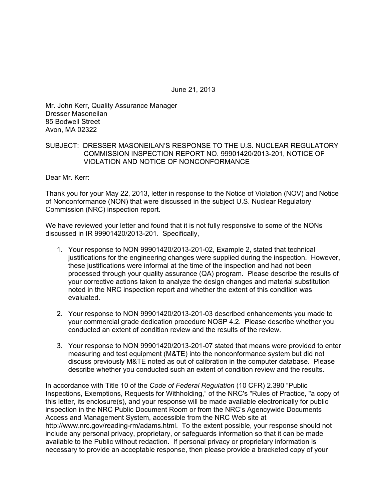June 21, 2013

Mr. John Kerr, Quality Assurance Manager Dresser Masoneilan 85 Bodwell Street Avon, MA 02322

# SUBJECT: DRESSER MASONEILAN'S RESPONSE TO THE U.S. NUCLEAR REGULATORY COMMISSION INSPECTION REPORT NO. 99901420/2013-201, NOTICE OF VIOLATION AND NOTICE OF NONCONFORMANCE

Dear Mr. Kerr:

Thank you for your May 22, 2013, letter in response to the Notice of Violation (NOV) and Notice of Nonconformance (NON) that were discussed in the subject U.S. Nuclear Regulatory Commission (NRC) inspection report.

We have reviewed your letter and found that it is not fully responsive to some of the NONs discussed in IR 99901420/2013-201. Specifically,

- 1. Your response to NON 99901420/2013-201-02, Example 2, stated that technical justifications for the engineering changes were supplied during the inspection. However, these justifications were informal at the time of the inspection and had not been processed through your quality assurance (QA) program. Please describe the results of your corrective actions taken to analyze the design changes and material substitution noted in the NRC inspection report and whether the extent of this condition was evaluated.
- 2. Your response to NON 99901420/2013-201-03 described enhancements you made to your commercial grade dedication procedure NQSP 4.2. Please describe whether you conducted an extent of condition review and the results of the review.
- 3. Your response to NON 99901420/2013-201-07 stated that means were provided to enter measuring and test equipment (M&TE) into the nonconformance system but did not discuss previously M&TE noted as out of calibration in the computer database. Please describe whether you conducted such an extent of condition review and the results.

In accordance with Title 10 of the *Code of Federal Regulation* (10 CFR) 2.390 "Public Inspections, Exemptions, Requests for Withholding," of the NRC's "Rules of Practice, "a copy of this letter, its enclosure(s), and your response will be made available electronically for public inspection in the NRC Public Document Room or from the NRC's Agencywide Documents Access and Management System, accessible from the NRC Web site at http://www.nrc.gov/reading-rm/adams.html. To the extent possible, your response should not include any personal privacy, proprietary, or safeguards information so that it can be made available to the Public without redaction. If personal privacy or proprietary information is necessary to provide an acceptable response, then please provide a bracketed copy of your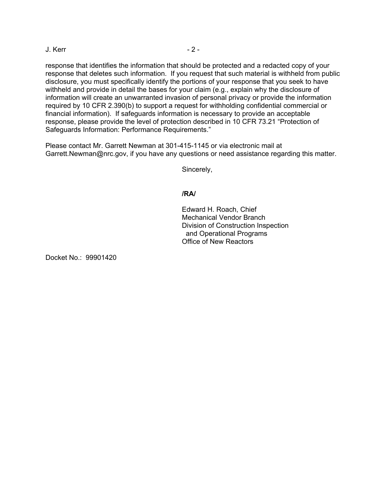## J. Kerr - 2 -

response that identifies the information that should be protected and a redacted copy of your response that deletes such information. If you request that such material is withheld from public disclosure, you must specifically identify the portions of your response that you seek to have withheld and provide in detail the bases for your claim (e.g., explain why the disclosure of information will create an unwarranted invasion of personal privacy or provide the information required by 10 CFR 2.390(b) to support a request for withholding confidential commercial or financial information). If safeguards information is necessary to provide an acceptable response, please provide the level of protection described in 10 CFR 73.21 "Protection of Safeguards Information: Performance Requirements."

Please contact Mr. Garrett Newman at 301-415-1145 or via electronic mail at Garrett.Newman@nrc.gov, if you have any questions or need assistance regarding this matter.

Sincerely,

## **/RA/**

Edward H. Roach, Chief Mechanical Vendor Branch Division of Construction Inspection and Operational Programs Office of New Reactors

Docket No.: 99901420